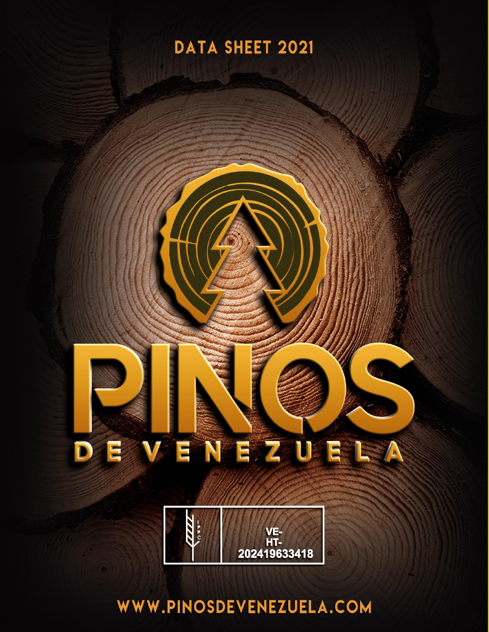



WWW.PINOSDEVENEZUELA.COM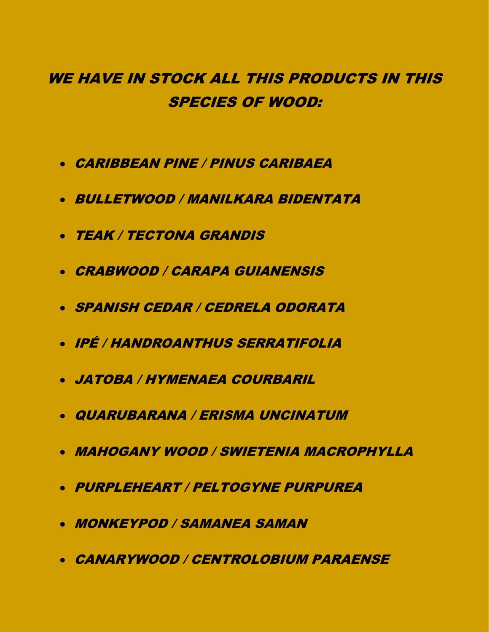# WE HAVE IN STOCK ALL THIS PRODUCTS IN THIS SPECIES OF WOOD:

- CARIBBEAN PINE / PINUS CARIBAEA
- BULLETWOOD / MANILKARA BIDENTATA
- TEAK / TECTONA GRANDIS
- CRABWOOD / CARAPA GUIANENSIS
- SPANISH CEDAR / CEDRELA ODORATA
- IPÉ / HANDROANTHUS SERRATIFOLIA
- JATOBA / HYMENAEA COURBARIL
- QUARUBARANA / ERISMA UNCINATUM
- MAHOGANY WOOD / SWIETENIA MACROPHYLLA
- PURPLEHEART / PELTOGYNE PURPUREA
- MONKEYPOD / SAMANEA SAMAN
- CANARYWOOD / CENTROLOBIUM PARAENSE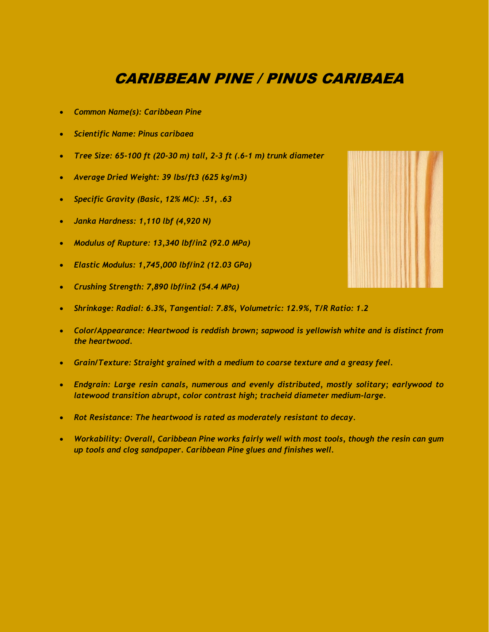# CARIBBEAN PINE / PINUS CARIBAEA

- *Common Name(s): Caribbean Pine*
- *Scientific Name: Pinus caribaea*
- *Tree Size: 65-100 ft (20-30 m) tall, 2-3 ft (.6-1 m) trunk diameter*
- *Average Dried Weight: 39 lbs/ft3 (625 kg/m3)*
- *Specific Gravity (Basic, 12% MC): .51, .63*
- *Janka Hardness: 1,110 lbf (4,920 N)*
- *Modulus of Rupture: 13,340 lbf/in2 (92.0 MPa)*
- *Elastic Modulus: 1,745,000 lbf/in2 (12.03 GPa)*
- *Crushing Strength: 7,890 lbf/in2 (54.4 MPa)*
- *Shrinkage: Radial: 6.3%, Tangential: 7.8%, Volumetric: 12.9%, T/R Ratio: 1.2*
- *Color/Appearance: Heartwood is reddish brown; sapwood is yellowish white and is distinct from the heartwood.*
- *Grain/Texture: Straight grained with a medium to coarse texture and a greasy feel.*
- *Endgrain: Large resin canals, numerous and evenly distributed, mostly solitary; earlywood to latewood transition abrupt, color contrast high; tracheid diameter medium-large.*
- *Rot Resistance: The heartwood is rated as moderately resistant to decay.*
- *Workability: Overall, Caribbean Pine works fairly well with most tools, though the resin can gum up tools and clog sandpaper. Caribbean Pine glues and finishes well.*

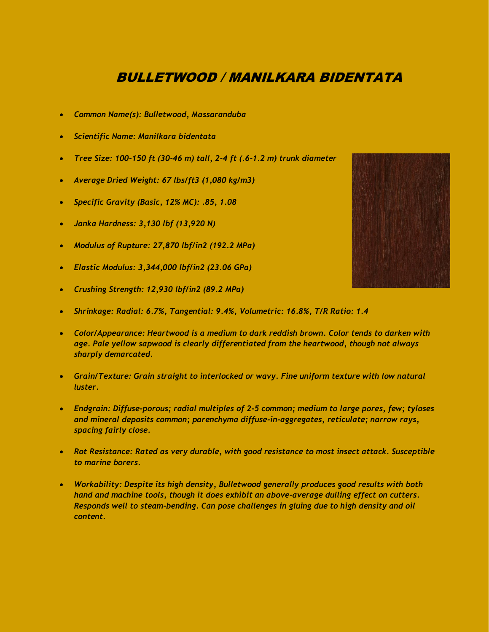# BULLETWOOD / MANILKARA BIDENTATA

- *Common Name(s): Bulletwood, Massaranduba*
- *Scientific Name: Manilkara bidentata*
- *Tree Size: 100-150 ft (30-46 m) tall, 2-4 ft (.6-1.2 m) trunk diameter*
- *Average Dried Weight: 67 lbs/ft3 (1,080 kg/m3)*
- *Specific Gravity (Basic, 12% MC): .85, 1.08*
- *Janka Hardness: 3,130 lbf (13,920 N)*
- *Modulus of Rupture: 27,870 lbf/in2 (192.2 MPa)*
- *Elastic Modulus: 3,344,000 lbf/in2 (23.06 GPa)*
- *Crushing Strength: 12,930 lbf/in2 (89.2 MPa)*
- *Shrinkage: Radial: 6.7%, Tangential: 9.4%, Volumetric: 16.8%, T/R Ratio: 1.4*
- *Color/Appearance: Heartwood is a medium to dark reddish brown. Color tends to darken with age. Pale yellow sapwood is clearly differentiated from the heartwood, though not always sharply demarcated.*
- *Grain/Texture: Grain straight to interlocked or wavy. Fine uniform texture with low natural luster.*
- *Endgrain: Diffuse-porous; radial multiples of 2-5 common; medium to large pores, few; tyloses and mineral deposits common; parenchyma diffuse-in-aggregates, reticulate; narrow rays, spacing fairly close.*
- *Rot Resistance: Rated as very durable, with good resistance to most insect attack. Susceptible to marine borers.*
- *Workability: Despite its high density, Bulletwood generally produces good results with both hand and machine tools, though it does exhibit an above-average dulling effect on cutters. Responds well to steam-bending. Can pose challenges in gluing due to high density and oil content.*

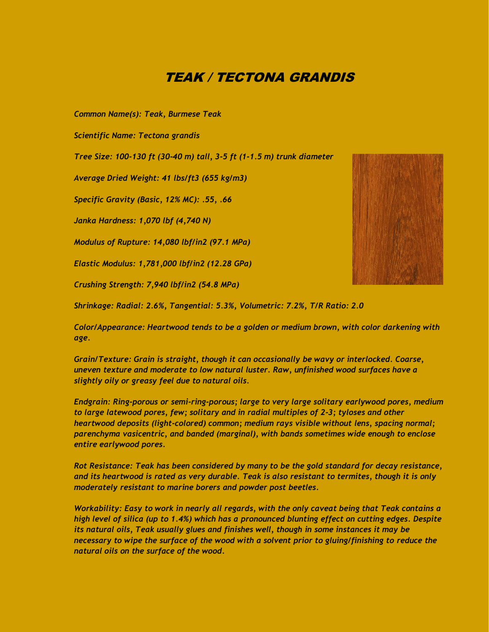## TEAK / TECTONA GRANDIS

*Common Name(s): Teak, Burmese Teak*

*Scientific Name: Tectona grandis*

*Tree Size: 100-130 ft (30-40 m) tall, 3-5 ft (1-1.5 m) trunk diameter*

*Average Dried Weight: 41 lbs/ft3 (655 kg/m3)*

*Specific Gravity (Basic, 12% MC): .55, .66*

*Janka Hardness: 1,070 lbf (4,740 N)*

*Modulus of Rupture: 14,080 lbf/in2 (97.1 MPa)*

*Elastic Modulus: 1,781,000 lbf/in2 (12.28 GPa)*

*Crushing Strength: 7,940 lbf/in2 (54.8 MPa)*

*Shrinkage: Radial: 2.6%, Tangential: 5.3%, Volumetric: 7.2%, T/R Ratio: 2.0*

*Color/Appearance: Heartwood tends to be a golden or medium brown, with color darkening with age.*

*Grain/Texture: Grain is straight, though it can occasionally be wavy or interlocked. Coarse, uneven texture and moderate to low natural luster. Raw, unfinished wood surfaces have a slightly oily or greasy feel due to natural oils.*

*Endgrain: Ring-porous or semi-ring-porous; large to very large solitary earlywood pores, medium to large latewood pores, few; solitary and in radial multiples of 2-3; tyloses and other heartwood deposits (light-colored) common; medium rays visible without lens, spacing normal; parenchyma vasicentric, and banded (marginal), with bands sometimes wide enough to enclose entire earlywood pores.*

*Rot Resistance: Teak has been considered by many to be the gold standard for decay resistance, and its heartwood is rated as very durable. Teak is also resistant to termites, though it is only moderately resistant to marine borers and powder post beetles.*

*Workability: Easy to work in nearly all regards, with the only caveat being that Teak contains a high level of silica (up to 1.4%) which has a pronounced blunting effect on cutting edges. Despite its natural oils, Teak usually glues and finishes well, though in some instances it may be necessary to wipe the surface of the wood with a solvent prior to gluing/finishing to reduce the natural oils on the surface of the wood.*

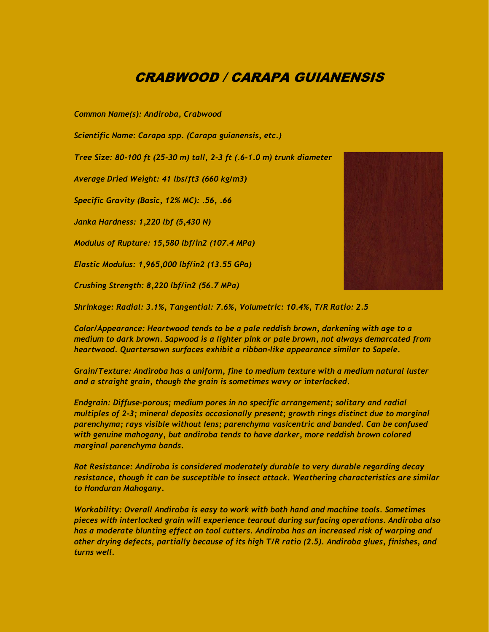## CRABWOOD / CARAPA GUIANENSIS

*Common Name(s): Andiroba, Crabwood*

*Scientific Name: Carapa spp. (Carapa guianensis, etc.)*

*Tree Size: 80-100 ft (25-30 m) tall, 2-3 ft (.6-1.0 m) trunk diameter*

*Average Dried Weight: 41 lbs/ft3 (660 kg/m3)*

*Specific Gravity (Basic, 12% MC): .56, .66*

*Janka Hardness: 1,220 lbf (5,430 N)*

*Modulus of Rupture: 15,580 lbf/in2 (107.4 MPa)*

*Elastic Modulus: 1,965,000 lbf/in2 (13.55 GPa)*

*Crushing Strength: 8,220 lbf/in2 (56.7 MPa)*

*Shrinkage: Radial: 3.1%, Tangential: 7.6%, Volumetric: 10.4%, T/R Ratio: 2.5*

*Color/Appearance: Heartwood tends to be a pale reddish brown, darkening with age to a medium to dark brown. Sapwood is a lighter pink or pale brown, not always demarcated from heartwood. Quartersawn surfaces exhibit a ribbon-like appearance similar to Sapele.*

*Grain/Texture: Andiroba has a uniform, fine to medium texture with a medium natural luster and a straight grain, though the grain is sometimes wavy or interlocked.*

*Endgrain: Diffuse-porous; medium pores in no specific arrangement; solitary and radial multiples of 2-3; mineral deposits occasionally present; growth rings distinct due to marginal parenchyma; rays visible without lens; parenchyma vasicentric and banded. Can be confused with genuine mahogany, but andiroba tends to have darker, more reddish brown colored marginal parenchyma bands.*

*Rot Resistance: Andiroba is considered moderately durable to very durable regarding decay resistance, though it can be susceptible to insect attack. Weathering characteristics are similar to Honduran Mahogany.*

*Workability: Overall Andiroba is easy to work with both hand and machine tools. Sometimes pieces with interlocked grain will experience tearout during surfacing operations. Andiroba also has a moderate blunting effect on tool cutters. Andiroba has an increased risk of warping and other drying defects, partially because of its high T/R ratio (2.5). Andiroba glues, finishes, and turns well.*

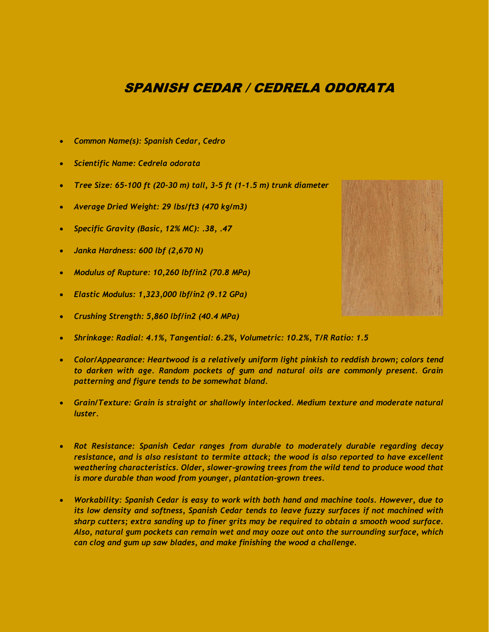## SPANISH CEDAR / CEDRELA ODORATA

- *Common Name(s): Spanish Cedar, Cedro*
- *Scientific Name: Cedrela odorata*
- *Tree Size: 65-100 ft (20-30 m) tall, 3-5 ft (1-1.5 m) trunk diameter*
- *Average Dried Weight: 29 lbs/ft3 (470 kg/m3)*
- *Specific Gravity (Basic, 12% MC): .38, .47*
- *Janka Hardness: 600 lbf (2,670 N)*
- *Modulus of Rupture: 10,260 lbf/in2 (70.8 MPa)*
- *Elastic Modulus: 1,323,000 lbf/in2 (9.12 GPa)*
- *Crushing Strength: 5,860 lbf/in2 (40.4 MPa)*
- *Shrinkage: Radial: 4.1%, Tangential: 6.2%, Volumetric: 10.2%, T/R Ratio: 1.5*
- *Color/Appearance: Heartwood is a relatively uniform light pinkish to reddish brown; colors tend to darken with age. Random pockets of gum and natural oils are commonly present. Grain patterning and figure tends to be somewhat bland.*
- *Grain/Texture: Grain is straight or shallowly interlocked. Medium texture and moderate natural luster.*
- *Rot Resistance: Spanish Cedar ranges from durable to moderately durable regarding decay resistance, and is also resistant to termite attack; the wood is also reported to have excellent weathering characteristics. Older, slower-growing trees from the wild tend to produce wood that is more durable than wood from younger, plantation-grown trees.*
- *Workability: Spanish Cedar is easy to work with both hand and machine tools. However, due to its low density and softness, Spanish Cedar tends to leave fuzzy surfaces if not machined with sharp cutters; extra sanding up to finer grits may be required to obtain a smooth wood surface. Also, natural gum pockets can remain wet and may ooze out onto the surrounding surface, which can clog and gum up saw blades, and make finishing the wood a challenge.*

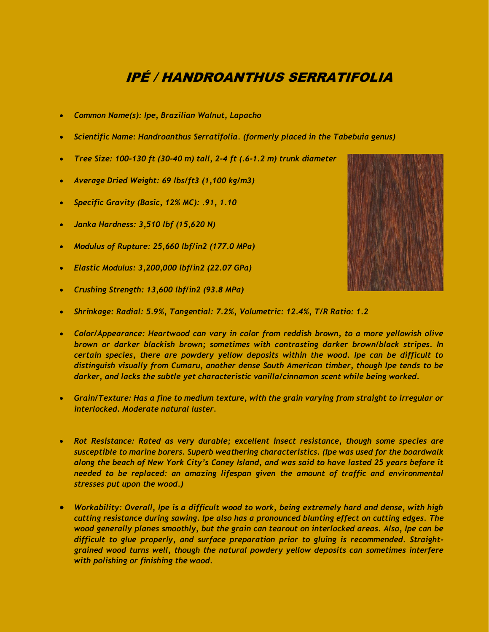# IPÉ / HANDROANTHUS SERRATIFOLIA

- *Common Name(s): Ipe, Brazilian Walnut, Lapacho*
- *Scientific Name: Handroanthus Serratifolia. (formerly placed in the Tabebuia genus)*
- *Tree Size: 100-130 ft (30-40 m) tall, 2-4 ft (.6-1.2 m) trunk diameter*
- *Average Dried Weight: 69 lbs/ft3 (1,100 kg/m3)*
- *Specific Gravity (Basic, 12% MC): .91, 1.10*
- *Janka Hardness: 3,510 lbf (15,620 N)*
- *Modulus of Rupture: 25,660 lbf/in2 (177.0 MPa)*
- *Elastic Modulus: 3,200,000 lbf/in2 (22.07 GPa)*
- *Crushing Strength: 13,600 lbf/in2 (93.8 MPa)*
- *Shrinkage: Radial: 5.9%, Tangential: 7.2%, Volumetric: 12.4%, T/R Ratio: 1.2*
- *Color/Appearance: Heartwood can vary in color from reddish brown, to a more yellowish olive brown or darker blackish brown; sometimes with contrasting darker brown/black stripes. In certain species, there are powdery yellow deposits within the wood. Ipe can be difficult to distinguish visually from Cumaru, another dense South American timber, though Ipe tends to be darker, and lacks the subtle yet characteristic vanilla/cinnamon scent while being worked.*
- *Grain/Texture: Has a fine to medium texture, with the grain varying from straight to irregular or interlocked. Moderate natural luster.*
- *Rot Resistance: Rated as very durable; excellent insect resistance, though some species are susceptible to marine borers. Superb weathering characteristics. (Ipe was used for the boardwalk along the beach of New York City's Coney Island, and was said to have lasted 25 years before it needed to be replaced: an amazing lifespan given the amount of traffic and environmental stresses put upon the wood.)*
- *Workability: Overall, Ipe is a difficult wood to work, being extremely hard and dense, with high cutting resistance during sawing. Ipe also has a pronounced blunting effect on cutting edges. The wood generally planes smoothly, but the grain can tearout on interlocked areas. Also, Ipe can be difficult to glue properly, and surface preparation prior to gluing is recommended. Straightgrained wood turns well, though the natural powdery yellow deposits can sometimes interfere with polishing or finishing the wood.*

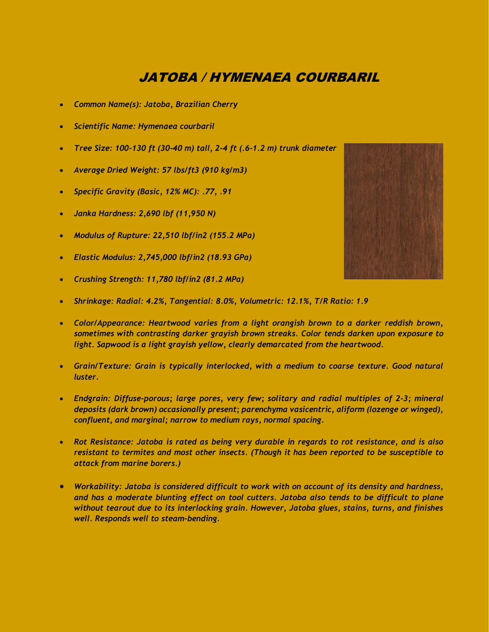# JATOBA / HYMENAEA COURBARIL

- *Common Name(s): Jatoba, Brazilian Cherry*
- *Scientific Name: Hymenaea courbaril*
- *Tree Size: 100-130 ft (30-40 m) tall, 2-4 ft (.6-1.2 m) trunk diameter*
- *Average Dried Weight: 57 lbs/ft3 (910 kg/m3)*
- *Specific Gravity (Basic, 12% MC): .77, .91*
- *Janka Hardness: 2,690 lbf (11,950 N)*
- *Modulus of Rupture: 22,510 lbf/in2 (155.2 MPa)*
- *Elastic Modulus: 2,745,000 lbf/in2 (18.93 GPa)*
- *Crushing Strength: 11,780 lbf/in2 (81.2 MPa)*



- *Shrinkage: Radial: 4.2%, Tangential: 8.0%, Volumetric: 12.1%, T/R Ratio: 1.9*
- *Color/Appearance: Heartwood varies from a light orangish brown to a darker reddish brown, sometimes with contrasting darker grayish brown streaks. Color tends darken upon exposure to light. Sapwood is a light grayish yellow, clearly demarcated from the heartwood.*
- *Grain/Texture: Grain is typically interlocked, with a medium to coarse texture. Good natural luster.*
- *Endgrain: Diffuse-porous; large pores, very few; solitary and radial multiples of 2-3; mineral deposits (dark brown) occasionally present; parenchyma vasicentric, aliform (lozenge or winged), confluent, and marginal; narrow to medium rays, normal spacing.*
- *Rot Resistance: Jatoba is rated as being very durable in regards to rot resistance, and is also resistant to termites and most other insects. (Though it has been reported to be susceptible to attack from marine borers.)*
- *Workability: Jatoba is considered difficult to work with on account of its density and hardness, and has a moderate blunting effect on tool cutters. Jatoba also tends to be difficult to plane without tearout due to its interlocking grain. However, Jatoba glues, stains, turns, and finishes well. Responds well to steam-bending.*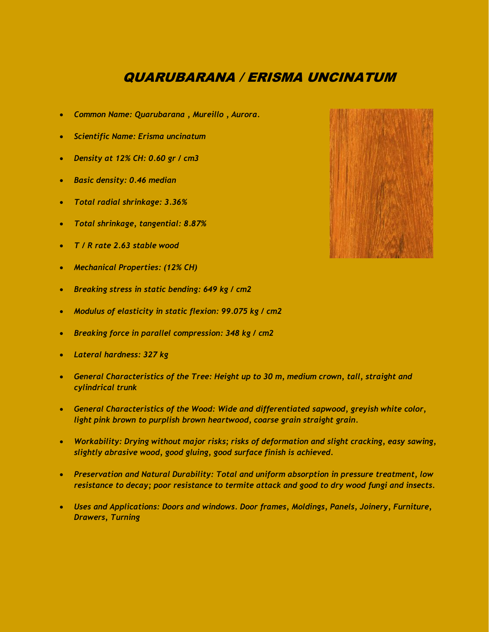# QUARUBARANA / ERISMA UNCINATUM

- *Common Name: Quarubarana , Mureillo , Aurora.*
- *Scientific Name: Erisma uncinatum*
- *Density at 12% CH: 0.60 gr / cm3*
- *Basic density: 0.46 median*
- *Total radial shrinkage: 3.36%*
- *Total shrinkage, tangential: 8.87%*
- *T / R rate 2.63 stable wood*
- *Mechanical Properties: (12% CH)*
- *Breaking stress in static bending: 649 kg / cm2*
- *Modulus of elasticity in static flexion: 99.075 kg / cm2*
- *Breaking force in parallel compression: 348 kg / cm2*
- *Lateral hardness: 327 kg*
- *General Characteristics of the Tree: Height up to 30 m, medium crown, tall, straight and cylindrical trunk*
- *General Characteristics of the Wood: Wide and differentiated sapwood, greyish white color, light pink brown to purplish brown heartwood, coarse grain straight grain.*
- *Workability: Drying without major risks; risks of deformation and slight cracking, easy sawing, slightly abrasive wood, good gluing, good surface finish is achieved.*
- *Preservation and Natural Durability: Total and uniform absorption in pressure treatment, low resistance to decay; poor resistance to termite attack and good to dry wood fungi and insects.*
- *Uses and Applications: Doors and windows. Door frames, Moldings, Panels, Joinery, Furniture, Drawers, Turning*

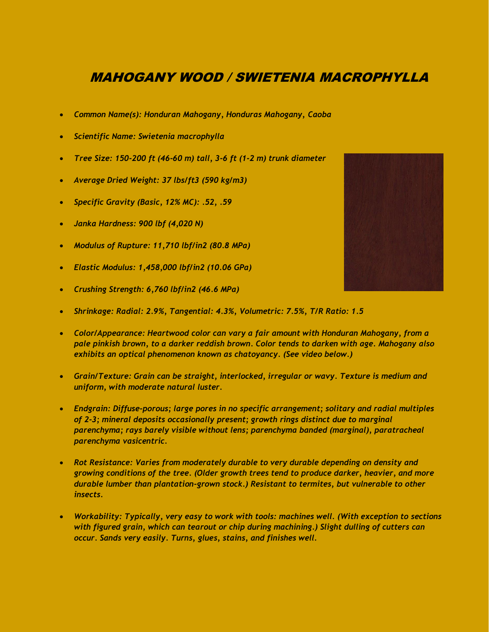# MAHOGANY WOOD / SWIETENIA MACROPHYLLA

- *Common Name(s): Honduran Mahogany, Honduras Mahogany, Caoba*
- *Scientific Name: Swietenia macrophylla*
- *Tree Size: 150-200 ft (46-60 m) tall, 3-6 ft (1-2 m) trunk diameter*
- *Average Dried Weight: 37 lbs/ft3 (590 kg/m3)*
- *Specific Gravity (Basic, 12% MC): .52, .59*
- *Janka Hardness: 900 lbf (4,020 N)*
- *Modulus of Rupture: 11,710 lbf/in2 (80.8 MPa)*
- *Elastic Modulus: 1,458,000 lbf/in2 (10.06 GPa)*
- *Crushing Strength: 6,760 lbf/in2 (46.6 MPa)*
- *Shrinkage: Radial: 2.9%, Tangential: 4.3%, Volumetric: 7.5%, T/R Ratio: 1.5*
- *Color/Appearance: Heartwood color can vary a fair amount with Honduran Mahogany, from a pale pinkish brown, to a darker reddish brown. Color tends to darken with age. Mahogany also exhibits an optical phenomenon known as chatoyancy. (See video below.)*
- *Grain/Texture: Grain can be straight, interlocked, irregular or wavy. Texture is medium and uniform, with moderate natural luster.*
- *Endgrain: Diffuse-porous; large pores in no specific arrangement; solitary and radial multiples of 2-3; mineral deposits occasionally present; growth rings distinct due to marginal parenchyma; rays barely visible without lens; parenchyma banded (marginal), paratracheal parenchyma vasicentric.*
- *Rot Resistance: Varies from moderately durable to very durable depending on density and growing conditions of the tree. (Older growth trees tend to produce darker, heavier, and more durable lumber than plantation-grown stock.) Resistant to termites, but vulnerable to other insects.*
- *Workability: Typically, very easy to work with tools: machines well. (With exception to sections with figured grain, which can tearout or chip during machining.) Slight dulling of cutters can occur. Sands very easily. Turns, glues, stains, and finishes well.*

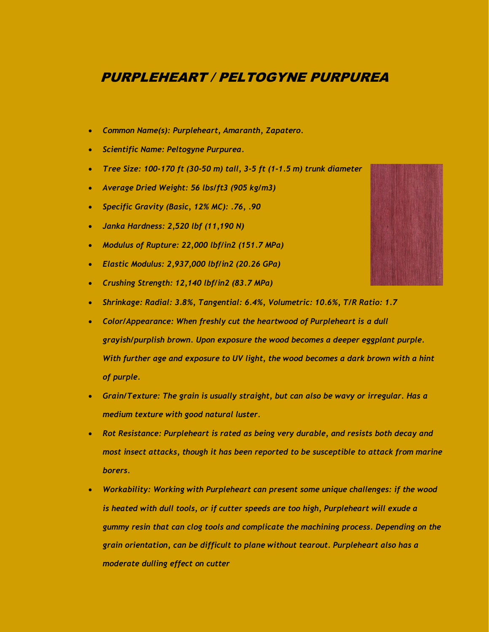#### PURPLEHEART / PELTOGYNE PURPUREA

- *Common Name(s): Purpleheart, Amaranth, Zapatero.*
- *Scientific Name: Peltogyne Purpurea.*
- *Tree Size: 100-170 ft (30-50 m) tall, 3-5 ft (1-1.5 m) trunk diameter*
- *Average Dried Weight: 56 lbs/ft3 (905 kg/m3)*
- *Specific Gravity (Basic, 12% MC): .76, .90*
- *Janka Hardness: 2,520 lbf (11,190 N)*
- *Modulus of Rupture: 22,000 lbf/in2 (151.7 MPa)*
- *Elastic Modulus: 2,937,000 lbf/in2 (20.26 GPa)*
- *Crushing Strength: 12,140 lbf/in2 (83.7 MPa)*
- *Shrinkage: Radial: 3.8%, Tangential: 6.4%, Volumetric: 10.6%, T/R Ratio: 1.7*
- *Color/Appearance: When freshly cut the heartwood of Purpleheart is a dull grayish/purplish brown. Upon exposure the wood becomes a deeper eggplant purple. With further age and exposure to UV light, the wood becomes a dark brown with a hint of purple.*
- *Grain/Texture: The grain is usually straight, but can also be wavy or irregular. Has a medium texture with good natural luster.*
- *Rot Resistance: Purpleheart is rated as being very durable, and resists both decay and most insect attacks, though it has been reported to be susceptible to attack from marine borers.*
- *Workability: Working with Purpleheart can present some unique challenges: if the wood is heated with dull tools, or if cutter speeds are too high, Purpleheart will exude a gummy resin that can clog tools and complicate the machining process. Depending on the grain orientation, can be difficult to plane without tearout. Purpleheart also has a moderate dulling effect on cutter*

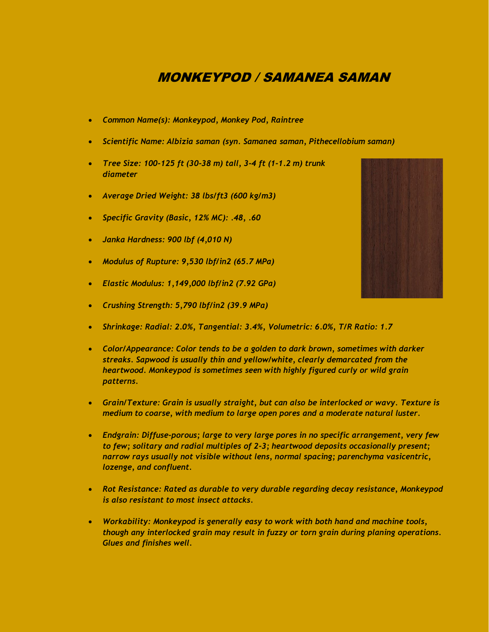## MONKEYPOD / SAMANEA SAMAN

- *Common Name(s): Monkeypod, Monkey Pod, Raintree*
- *Scientific Name: Albizia saman (syn. Samanea saman, Pithecellobium saman)*
- *Tree Size: 100-125 ft (30-38 m) tall, 3-4 ft (1-1.2 m) trunk diameter*
- *Average Dried Weight: 38 lbs/ft3 (600 kg/m3)*
- *Specific Gravity (Basic, 12% MC): .48, .60*
- *Janka Hardness: 900 lbf (4,010 N)*
- *Modulus of Rupture: 9,530 lbf/in2 (65.7 MPa)*
- *Elastic Modulus: 1,149,000 lbf/in2 (7.92 GPa)*
- *Crushing Strength: 5,790 lbf/in2 (39.9 MPa)*
- *Shrinkage: Radial: 2.0%, Tangential: 3.4%, Volumetric: 6.0%, T/R Ratio: 1.7*
- *Color/Appearance: Color tends to be a golden to dark brown, sometimes with darker streaks. Sapwood is usually thin and yellow/white, clearly demarcated from the heartwood. Monkeypod is sometimes seen with highly figured curly or wild grain patterns.*
- *Grain/Texture: Grain is usually straight, but can also be interlocked or wavy. Texture is medium to coarse, with medium to large open pores and a moderate natural luster.*
- *Endgrain: Diffuse-porous; large to very large pores in no specific arrangement, very few to few; solitary and radial multiples of 2-3; heartwood deposits occasionally present; narrow rays usually not visible without lens, normal spacing; parenchyma vasicentric, lozenge, and confluent.*
- *Rot Resistance: Rated as durable to very durable regarding decay resistance, Monkeypod is also resistant to most insect attacks.*
- *Workability: Monkeypod is generally easy to work with both hand and machine tools, though any interlocked grain may result in fuzzy or torn grain during planing operations. Glues and finishes well.*

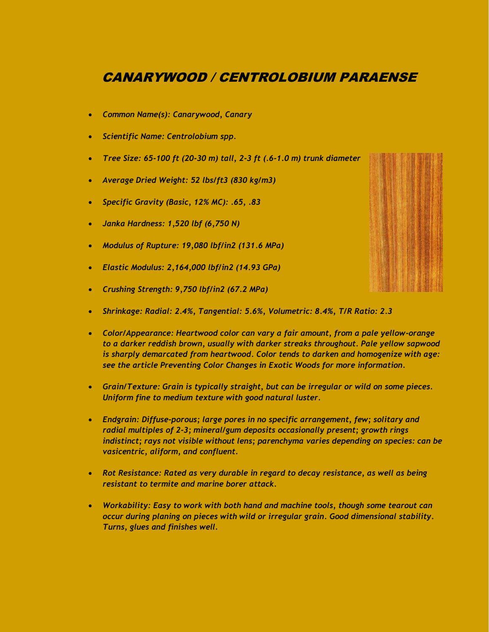# CANARYWOOD / CENTROLOBIUM PARAENSE

- *Common Name(s): Canarywood, Canary*
- *Scientific Name: Centrolobium spp.*
- *Tree Size: 65-100 ft (20-30 m) tall, 2-3 ft (.6-1.0 m) trunk diameter*
- *Average Dried Weight: 52 lbs/ft3 (830 kg/m3)*
- *Specific Gravity (Basic, 12% MC): .65, .83*
- *Janka Hardness: 1,520 lbf (6,750 N)*
- *Modulus of Rupture: 19,080 lbf/in2 (131.6 MPa)*
- *Elastic Modulus: 2,164,000 lbf/in2 (14.93 GPa)*
- *Crushing Strength: 9,750 lbf/in2 (67.2 MPa)*
- *Shrinkage: Radial: 2.4%, Tangential: 5.6%, Volumetric: 8.4%, T/R Ratio: 2.3*
- *Color/Appearance: Heartwood color can vary a fair amount, from a pale yellow-orange to a darker reddish brown, usually with darker streaks throughout. Pale yellow sapwood is sharply demarcated from heartwood. Color tends to darken and homogenize with age: see the article Preventing Color Changes in Exotic Woods for more information.*
- *Grain/Texture: Grain is typically straight, but can be irregular or wild on some pieces. Uniform fine to medium texture with good natural luster.*
- *Endgrain: Diffuse-porous; large pores in no specific arrangement, few; solitary and radial multiples of 2-3; mineral/gum deposits occasionally present; growth rings indistinct; rays not visible without lens; parenchyma varies depending on species: can be vasicentric, aliform, and confluent.*
- *Rot Resistance: Rated as very durable in regard to decay resistance, as well as being resistant to termite and marine borer attack.*
- *Workability: Easy to work with both hand and machine tools, though some tearout can occur during planing on pieces with wild or irregular grain. Good dimensional stability. Turns, glues and finishes well.*